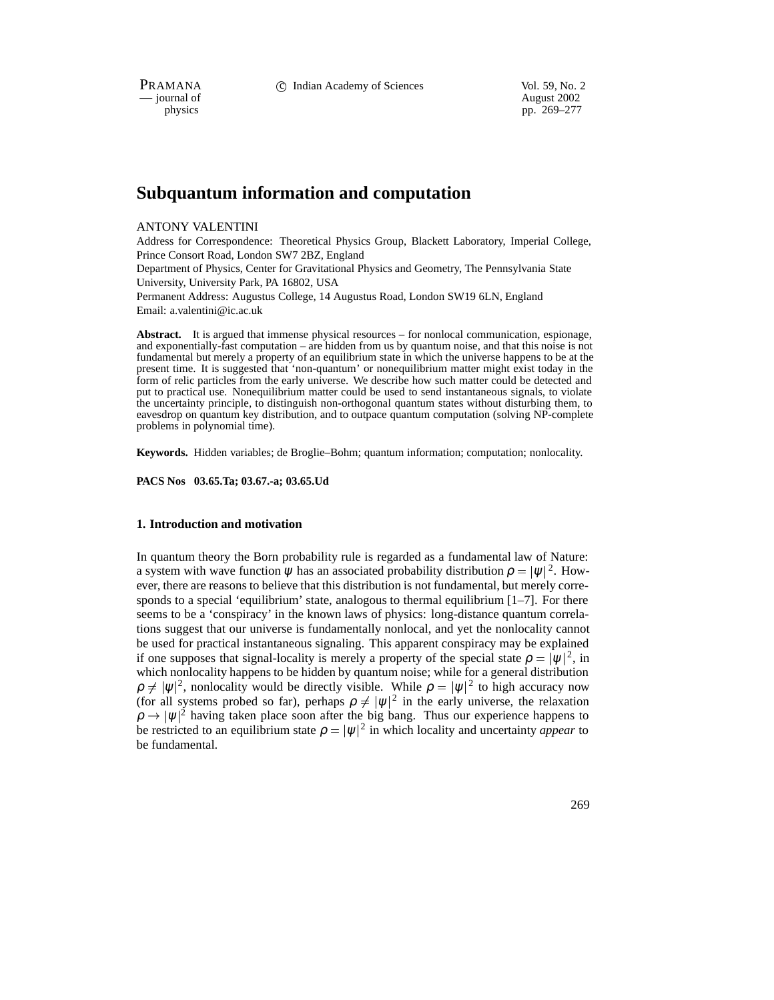PRAMANA 
<sup>C</sup> Indian Academy of Sciences 
<sup>Vol. 59, No. 2<br>
— iournal of August 2002</sup>

position of the contract of the contract of the contract of the contract of the contract of the contract of the contract of the contract of the contract of the contract of the contract of the contract of the contract of th pp. 269–277

# **Subquantum information and computation**

# ANTONY VALENTINI

Address for Correspondence: Theoretical Physics Group, Blackett Laboratory, Imperial College, Prince Consort Road, London SW7 2BZ, England

Department of Physics, Center for Gravitational Physics and Geometry, The Pennsylvania State University, University Park, PA 16802, USA

Permanent Address: Augustus College, 14 Augustus Road, London SW19 6LN, England Email: a.valentini@ic.ac.uk

**Abstract.** It is argued that immense physical resources – for nonlocal communication, espionage, and exponentially-fast computation – are hidden from us by quantum noise, and that this noise is not fundamental but merely a property of an equilibrium state in which the universe happens to be at the present time. It is suggested that 'non-quantum' or nonequilibrium matter might exist today in the form of relic particles from the early universe. We describe how such matter could be detected and put to practical use. Nonequilibrium matter could be used to send instantaneous signals, to violate the uncertainty principle, to distinguish non-orthogonal quantum states without disturbing them, to eavesdrop on quantum key distribution, and to outpace quantum computation (solving NP-complete problems in polynomial time).

**Keywords.** Hidden variables; de Broglie–Bohm; quantum information; computation; nonlocality.

**PACS Nos 03.65.Ta; 03.67.-a; 03.65.Ud**

# **1. Introduction and motivation**

In quantum theory the Born probability rule is regarded as a fundamental law of Nature: a system with wave function  $\psi$  has an associated probability distribution  $\rho = |\psi|^2$ . However, there are reasons to believe that this distribution is not fundamental, but merely corresponds to a special 'equilibrium' state, analogous to thermal equilibrium [1–7]. For there seems to be a 'conspiracy' in the known laws of physics: long-distance quantum correlations suggest that our universe is fundamentally nonlocal, and yet the nonlocality cannot be used for practical instantaneous signaling. This apparent conspiracy may be explained if one supposes that signal-locality is merely a property of the special state  $\rho = |\psi|^2$ , in which nonlocality happens to be hidden by quantum noise; while for a general distribution  $\rho \neq |\psi|^2$ , nonlocality would be directly visible. While  $\rho = |\psi|^2$  to high accuracy now (for all systems probed so far), perhaps  $\rho \neq |\psi|^2$  in the early universe, the relaxation  $\rho \rightarrow |\psi|^2$  having taken place soon after the big bang. Thus our experience happens to be restricted to an equilibrium state  $\rho = |\psi|^2$  in which locality and uncertainty *appear* to be fundamental.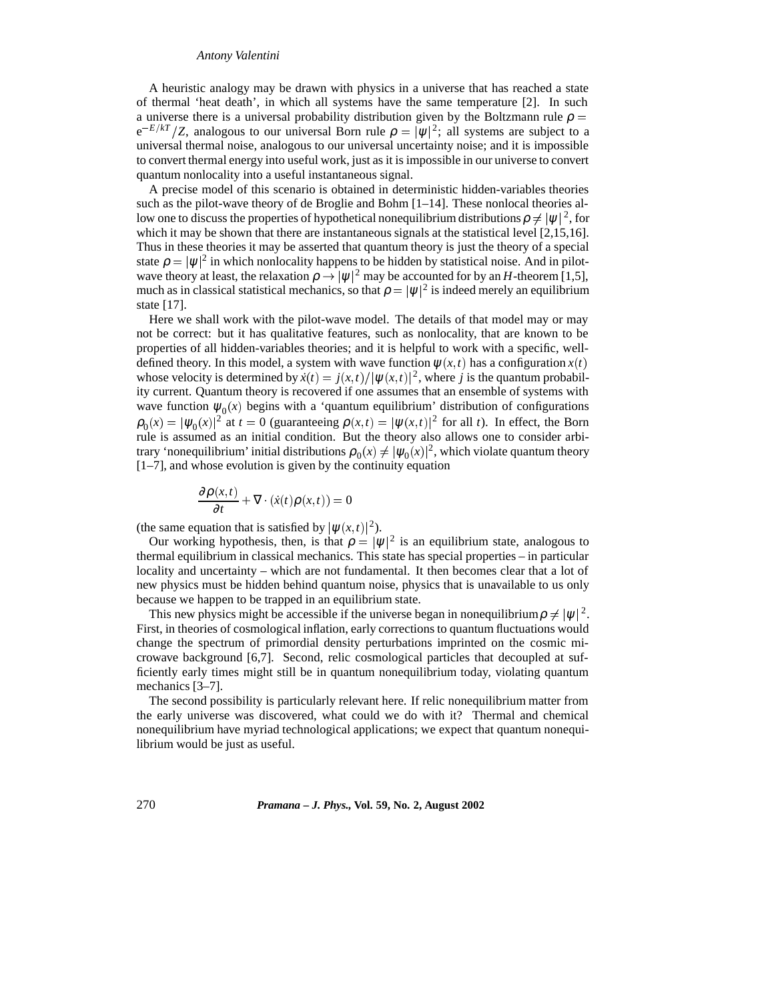### *Antony Valentini*

A heuristic analogy may be drawn with physics in a universe that has reached a state of thermal 'heat death', in which all systems have the same temperature [2]. In such a universe there is a universal probability distribution given by the Boltzmann rule  $\rho =$  $e^{-E/kT}/Z$ , analogous to our universal Born rule  $\rho = |\psi|^2$ ; all systems are subject to a universal thermal noise, analogous to our universal uncertainty noise; and it is impossible to convert thermal energy into useful work, just as it is impossible in our universe to convert quantum nonlocality into a useful instantaneous signal.

A precise model of this scenario is obtained in deterministic hidden-variables theories such as the pilot-wave theory of de Broglie and Bohm  $[1-14]$ . These nonlocal theories allow one to discuss the properties of hypothetical nonequilibrium distributions  $\rho \neq |\psi|^2$ , for which it may be shown that there are instantaneous signals at the statistical level [2,15,16]. Thus in these theories it may be asserted that quantum theory is just the theory of a special state  $\rho = |\psi|^2$  in which nonlocality happens to be hidden by statistical noise. And in pilotwave theory at least, the relaxation  $\rho \rightarrow |\psi|^2$  may be accounted for by an *H*-theorem [1,5], much as in classical statistical mechanics, so that  $\rho = |\psi|^2$  is indeed merely an equilibrium state [17].

Here we shall work with the pilot-wave model. The details of that model may or may not be correct: but it has qualitative features, such as nonlocality, that are known to be properties of all hidden-variables theories; and it is helpful to work with a specific, welldefined theory. In this model, a system with wave function  $\psi(x,t)$  has a configuration  $x(t)$ whose velocity is determined by  $\dot{x}(t) = j(x,t)/|\psi(x,t)|^2$ , where *j* is the quantum probability current. Quantum theory is recovered if one assumes that an ensemble of systems with wave function  $\psi_0(x)$  begins with a 'quantum equilibrium' distribution of configurations  $\rho_0(x) = |\psi_0(x)|^2$  at  $t = 0$  (guaranteeing  $\rho(x, t) = |\psi(x, t)|^2$  for all *t*). In effect, the Born rule is assumed as an initial condition. But the theory also allows one to consider arbitrary 'nonequilibrium' initial distributions  $\rho_0(x) \neq |\psi_0(x)|^2$ , which violate quantum theory [1–7], and whose evolution is given by the continuity equation

$$
\frac{\partial \rho(x,t)}{\partial t} + \nabla \cdot (\dot{x}(t) \rho(x,t)) = 0
$$

(the same equation that is satisfied by  $|\psi(x,t)|^2$ ).

Our working hypothesis, then, is that  $\rho = |\psi|^2$  is an equilibrium state, analogous to thermal equilibrium in classical mechanics. This state has special properties – in particular locality and uncertainty – which are not fundamental. It then becomes clear that a lot of new physics must be hidden behind quantum noise, physics that is unavailable to us only because we happen to be trapped in an equilibrium state.

This new physics might be accessible if the universe began in nonequilibrium  $\rho \neq |\psi|^2$ . First, in theories of cosmological inflation, early corrections to quantum fluctuations would change the spectrum of primordial density perturbations imprinted on the cosmic microwave background [6,7]. Second, relic cosmological particles that decoupled at sufficiently early times might still be in quantum nonequilibrium today, violating quantum mechanics [3–7].

The second possibility is particularly relevant here. If relic nonequilibrium matter from the early universe was discovered, what could we do with it? Thermal and chemical nonequilibrium have myriad technological applications; we expect that quantum nonequilibrium would be just as useful.

270 *Pramana – J. Phys.,* **Vol. 59, No. 2, August 2002**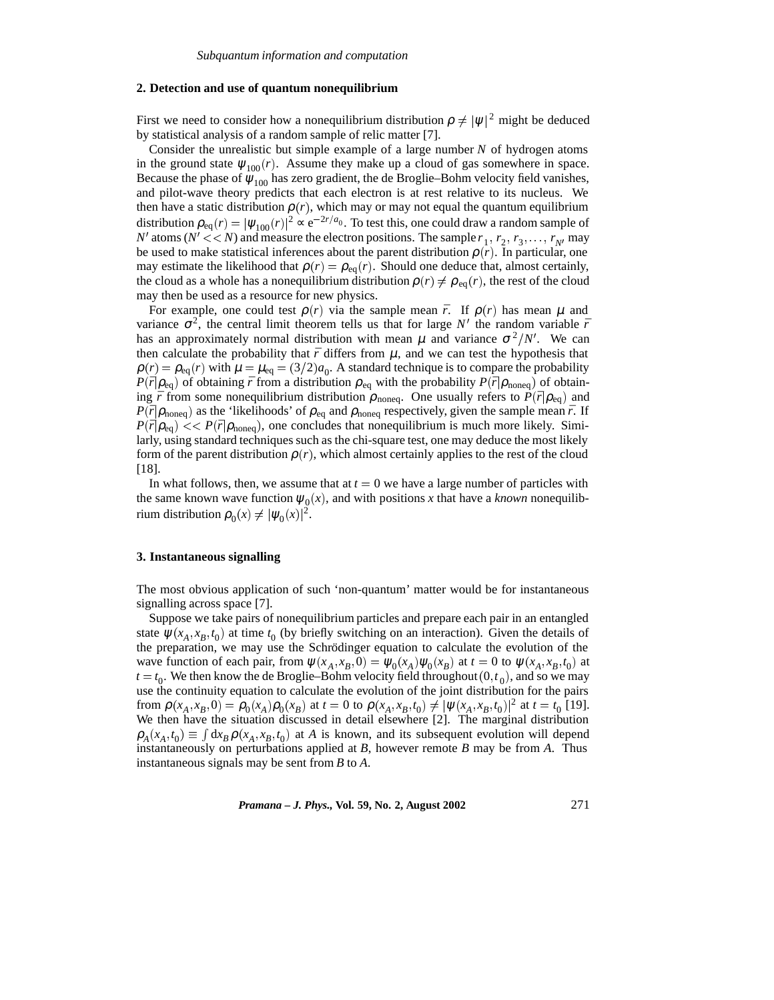# **2. Detection and use of quantum nonequilibrium**

First we need to consider how a nonequilibrium distribution  $\rho \neq |\psi|^2$  might be deduced by statistical analysis of a random sample of relic matter [7].

Consider the unrealistic but simple example of a large number *N* of hydrogen atoms in the ground state  $\psi_{100}(r)$ . Assume they make up a cloud of gas somewhere in space. Because the phase of  $\psi_{100}$  has zero gradient, the de Broglie–Bohm velocity field vanishes, and pilot-wave theory predicts that each electron is at rest relative to its nucleus. We then have a static distribution  $p(r)$ , which may or may not equal the quantum equilibrium distribution  $\rho_{eq}(r) = |\psi_{100}(r)|^2 \propto e^{-2r/a_0}$ . To test this, one could draw a random sample of *N'* atoms (*N'* << *N*) and measure the electron positions. The sample  $r_1, r_2, r_3, \ldots, r_{N'}$  may be used to make statistical inferences about the parent distribution  $\rho(r)$ . In particular, one may estimate the likelihood that  $\rho(r) = \rho_{eq}(r)$ . Should one deduce that, almost certainly, the cloud as a whole has a nonequilibrium distribution  $\rho(r) \neq \rho_{eq}(r)$ , the rest of the cloud may then be used as a resource for new physics.

For example, one could test  $\rho(r)$  via the sample mean  $\bar{r}$ . If  $\rho(r)$  has mean  $\mu$  and variance  $\sigma^2$ , the central limit theorem tells us that for large N' the random variable  $\bar{r}$ has an approximately normal distribution with mean  $\mu$  and variance  $\sigma^2/N'$ . We can then calculate the probability that  $\bar{r}$  differs from  $\mu$ , and we can test the hypothesis that  $\rho(r) = \rho_{eq}(r)$  with  $\mu = \mu_{eq} = (3/2)a_0$ . A standard technique is to compare the probability  $P(\bar{r}|\rho_{eq})$  of obtaining  $\bar{r}$  from a distribution  $\rho_{eq}$  with the probability  $P(\bar{r}|\rho_{noneq})$  of obtaining  $\bar{r}$  from some nonequilibrium distribution  $\rho_{\text{noneq}}$ . One usually refers to  $\bar{P}(\bar{r}|\rho_{\text{eq}})$  and  $P(\bar{r}|\rho_{\text{noneq}})$  as the 'likelihoods' of  $\rho_{\text{eq}}$  and  $\rho_{\text{noneq}}$  respectively, given the sample mean  $\bar{r}$ . If  $P(\bar{r}|\rho_{eq}) \ll P(\bar{r}|\rho_{noneq})$ , one concludes that nonequilibrium is much more likely. Similarly, using standard techniques such as the chi-square test, one may deduce the most likely form of the parent distribution  $\rho(r)$ , which almost certainly applies to the rest of the cloud [18].

In what follows, then, we assume that at  $t = 0$  we have a large number of particles with the same known wave function  $\psi_0(x)$ , and with positions x that have a *known* nonequilibrium distribution  $\rho_0(x) \neq |\psi_0(x)|^2$ .

## **3. Instantaneous signalling**

The most obvious application of such 'non-quantum' matter would be for instantaneous signalling across space [7].

Suppose we take pairs of nonequilibrium particles and prepare each pair in an entangled state  $\psi(x_A, x_B, t_0)$  at time  $t_0$  (by briefly switching on an interaction). Given the details of the preparation, we may use the Schrödinger equation to calculate the evolution of the wave function of each pair, from  $\psi(x_A, x_B, 0) = \psi_0(x_A)\psi_0(x_B)$  at  $t = 0$  to  $\psi(x_A, x_B, t_0)$  at  $t = t_0$ . We then know the de Broglie–Bohm velocity field throughout  $(0, t_0)$ , and so we may use the continuity equation to calculate the evolution of the joint distribution for the pairs from  $\rho(x_A, x_B, 0) = \rho_0(x_A)\rho_0(x_B)$  at  $t = 0$  to  $\rho(x_A, x_B, t_0) \neq |\psi(x_A, x_B, t_0)|^2$  at  $t = t_0$  [19]. We then have the situation discussed in detail elsewhere [2]. The marginal distribution  $\rho_A(x_A, t_0) \equiv \int dx_B \rho(x_A, x_B, t_0)$  at *A* is known, and its subsequent evolution will depend instantaneously on perturbations applied at *B*, however remote *B* may be from *A*. Thus instantaneous signals may be sent from *B* to *A*.

*Pramana – J. Phys.,* **Vol. 59, No. 2, August 2002** 271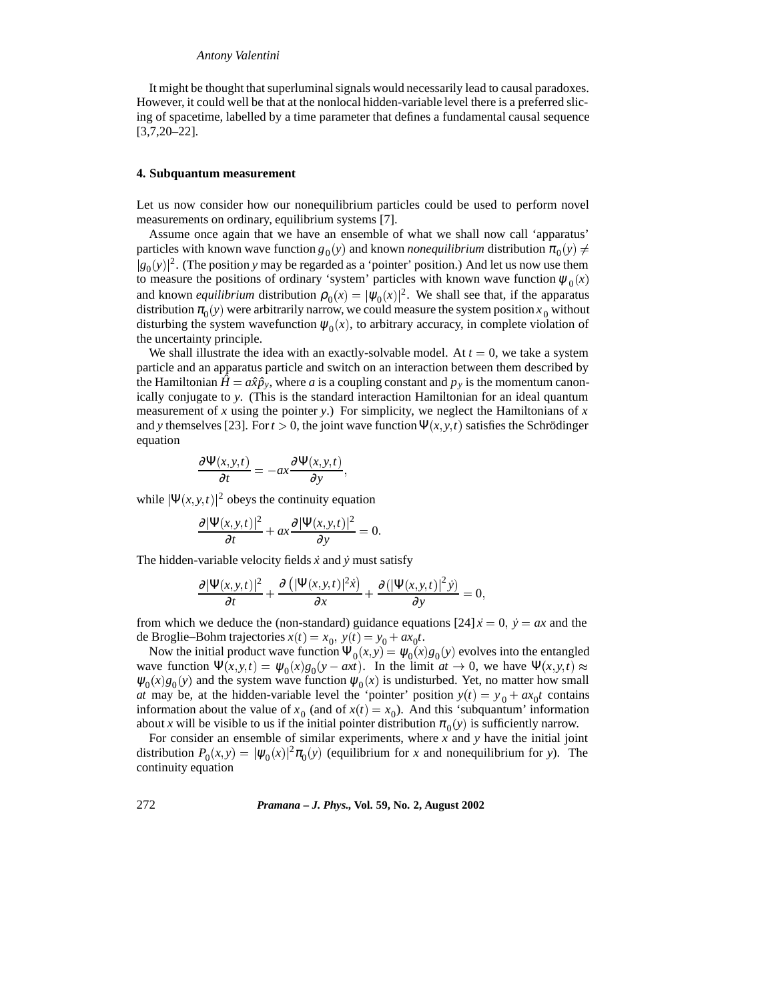It might be thought that superluminal signals would necessarily lead to causal paradoxes. However, it could well be that at the nonlocal hidden-variable level there is a preferred slicing of spacetime, labelled by a time parameter that defines a fundamental causal sequence [3,7,20–22].

# **4. Subquantum measurement**

Let us now consider how our nonequilibrium particles could be used to perform novel measurements on ordinary, equilibrium systems [7].

Assume once again that we have an ensemble of what we shall now call 'apparatus' particles with known wave function  $g_0(y)$  and known *nonequilibrium* distribution  $\pi_0(y) \neq$  $|g_0(y)|^2$ . (The position *y* may be regarded as a 'pointer' position.) And let us now use them to measure the positions of ordinary 'system' particles with known wave function  $\psi_0(x)$ and known *equilibrium* distribution  $\rho_0(x) = |\psi_0(x)|^2$ . We shall see that, if the apparatus distribution  $\pi_0(y)$  were arbitrarily narrow, we could measure the system position  $x_0$  without disturbing the system wavefunction  $\psi_0(x)$ , to arbitrary accuracy, in complete violation of the uncertainty principle.

We shall illustrate the idea with an exactly-solvable model. At  $t = 0$ , we take a system particle and an apparatus particle and switch on an interaction between them described by the Hamiltonian  $\hat{H} = a\hat{x}\hat{p}_y$ , where *a* is a coupling constant and  $p_y$  is the momentum canonically conjugate to *y*. (This is the standard interaction Hamiltonian for an ideal quantum measurement of *x* using the pointer *y*.) For simplicity, we neglect the Hamiltonians of *x* and *y* themselves [23]. For  $t > 0$ , the joint wave function  $\Psi(x, y, t)$  satisfies the Schrödinger equation

$$
\frac{\partial \Psi(x, y, t)}{\partial t} = -ax \frac{\partial \Psi(x, y, t)}{\partial y},
$$

while  $|\Psi(x, y, t)|^2$  obeys the continuity equation

$$
\frac{\partial |\Psi(x, y, t)|^2}{\partial t} + ax \frac{\partial |\Psi(x, y, t)|^2}{\partial y} = 0.
$$

The hidden-variable velocity fields  $\dot{x}$  and  $\dot{y}$  must satisfy

$$
\frac{\partial |\Psi(x, y, t)|^2}{\partial t} + \frac{\partial (|\Psi(x, y, t)|^2 \dot{x})}{\partial x} + \frac{\partial (|\Psi(x, y, t)|^2 \dot{y})}{\partial y} = 0,
$$

from which we deduce the (non-standard) guidance equations  $[24] \dot{x} = 0$ ,  $\dot{y} = ax$  and the de Broglie–Bohm trajectories  $x(t) = x_0, y(t) = y_0 + ax_0t$ .

Now the initial product wave function  $\Psi_0(x, y) = \psi_0(x)g_0(y)$  evolves into the entangled wave function  $\Psi(x, y, t) = \psi_0(x)g_0(y - \alpha x t)$ . In the limit  $\alpha t \to 0$ , we have  $\Psi(x, y, t) \approx$  $\psi_0(x)g_0(y)$  and the system wave function  $\psi_0(x)$  is undisturbed. Yet, no matter how small *at* may be, at the hidden-variable level the 'pointer' position  $y(t) = y_0 + ax_0t$  contains information about the value of  $x_0$  (and of  $x(t) = x_0$ ). And this 'subquantum' information about *x* will be visible to us if the initial pointer distribution  $\pi_0(y)$  is sufficiently narrow.

For consider an ensemble of similar experiments, where *x* and *y* have the initial joint distribution  $P_0(x, y) = |\psi_0(x)|^2 \pi_0(y)$  (equilibrium for *x* and nonequilibrium for *y*). The continuity equation

# 272 *Pramana – J. Phys.,* **Vol. 59, No. 2, August 2002**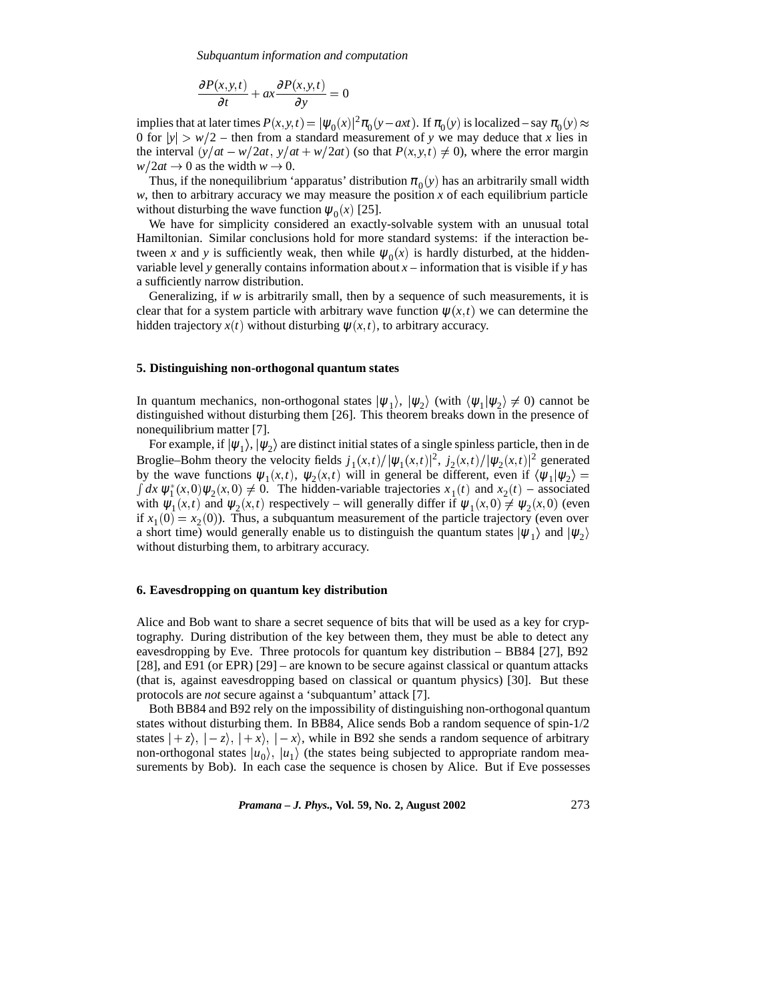*Subquantum information and computation*

$$
\frac{\partial P(x, y, t)}{\partial t} + ax \frac{\partial P(x, y, t)}{\partial y} = 0
$$

implies that at later times  $P(x, y, t) = |\psi_0(x)|^2 \pi_0(y - axt)$ . If  $\pi_0(y)$  is localized – say  $\pi_0(y) \approx$ 0 for  $|y| > w/2$  – then from a standard measurement of *y* we may deduce that *x* lies in the interval  $(y/at - w/2at, y/at + w/2at)$  (so that  $P(x, y, t) \neq 0$ ), where the error margin  $w/2at \rightarrow 0$  as the width  $w \rightarrow 0$ .

Thus, if the nonequilibrium 'apparatus' distribution  $\pi_0(y)$  has an arbitrarily small width  $w$ , then to arbitrary accuracy we may measure the position  $x$  of each equilibrium particle without disturbing the wave function  $\psi_0(x)$  [25].

We have for simplicity considered an exactly-solvable system with an unusual total Hamiltonian. Similar conclusions hold for more standard systems: if the interaction between *x* and *y* is sufficiently weak, then while  $\psi_0(x)$  is hardly disturbed, at the hiddenvariable level *y* generally contains information about  $x -$  information that is visible if *y* has a sufficiently narrow distribution.

Generalizing, if *w* is arbitrarily small, then by a sequence of such measurements, it is clear that for a system particle with arbitrary wave function  $\psi(x,t)$  we can determine the hidden trajectory  $x(t)$  without disturbing  $\psi(x,t)$ , to arbitrary accuracy.

### **5. Distinguishing non-orthogonal quantum states**

In quantum mechanics, non-orthogonal states  $|\psi_1\rangle$ ,  $|\psi_2\rangle$  (with  $\langle \psi_1 | \psi_2 \rangle \neq 0$ ) cannot be distinguished without disturbing them [26]. This theorem breaks down in the presence of nonequilibrium matter [7].

For example, if  $|\psi_1\rangle$ ,  $|\psi_2\rangle$  are distinct initial states of a single spinless particle, then in de Broglie–Bohm theory the velocity fields  $j_1(x,t)/|\psi_1(x,t)|^2$ ,  $j_2(x,t)/|\psi_2(x,t)|^2$  generated by the wave functions  $\psi_1(x,t)$ ,  $\psi_2(x,t)$  will in general be different, even if  $\langle \psi_1 | \psi_2 \rangle =$  $\int dx \psi_1^*(x,0)\psi_2(x,0) \neq 0$ . The hidden-variable trajectories  $x_1(t)$  and  $x_2(t)$  – associated with  $\psi_1(x,t)$  and  $\psi_2(x,t)$  respectively – will generally differ if  $\psi_1(x,0) \neq \psi_2(x,0)$  (even if  $x_1(0) = x_2(0)$ ). Thus, a subquantum measurement of the particle trajectory (even over a short time) would generally enable us to distinguish the quantum states  $|\psi_1\rangle$  and  $|\psi_2\rangle$ without disturbing them, to arbitrary accuracy.

# **6. Eavesdropping on quantum key distribution**

Alice and Bob want to share a secret sequence of bits that will be used as a key for cryptography. During distribution of the key between them, they must be able to detect any eavesdropping by Eve. Three protocols for quantum key distribution – BB84 [27], B92 [28], and E91 (or EPR) [29] – are known to be secure against classical or quantum attacks (that is, against eavesdropping based on classical or quantum physics) [30]. But these protocols are *not* secure against a 'subquantum' attack [7].

Both BB84 and B92 rely on the impossibility of distinguishing non-orthogonal quantum states without disturbing them. In BB84, Alice sends Bob a random sequence of spin-1/2 states  $|+z\rangle$ ,  $|-z\rangle$ ,  $|+x\rangle$ ,  $|-x\rangle$ , while in B92 she sends a random sequence of arbitrary non-orthogonal states  $|u_0\rangle$ ,  $|u_1\rangle$  (the states being subjected to appropriate random measurements by Bob). In each case the sequence is chosen by Alice. But if Eve possesses

*Pramana – J. Phys.,* **Vol. 59, No. 2, August 2002** 273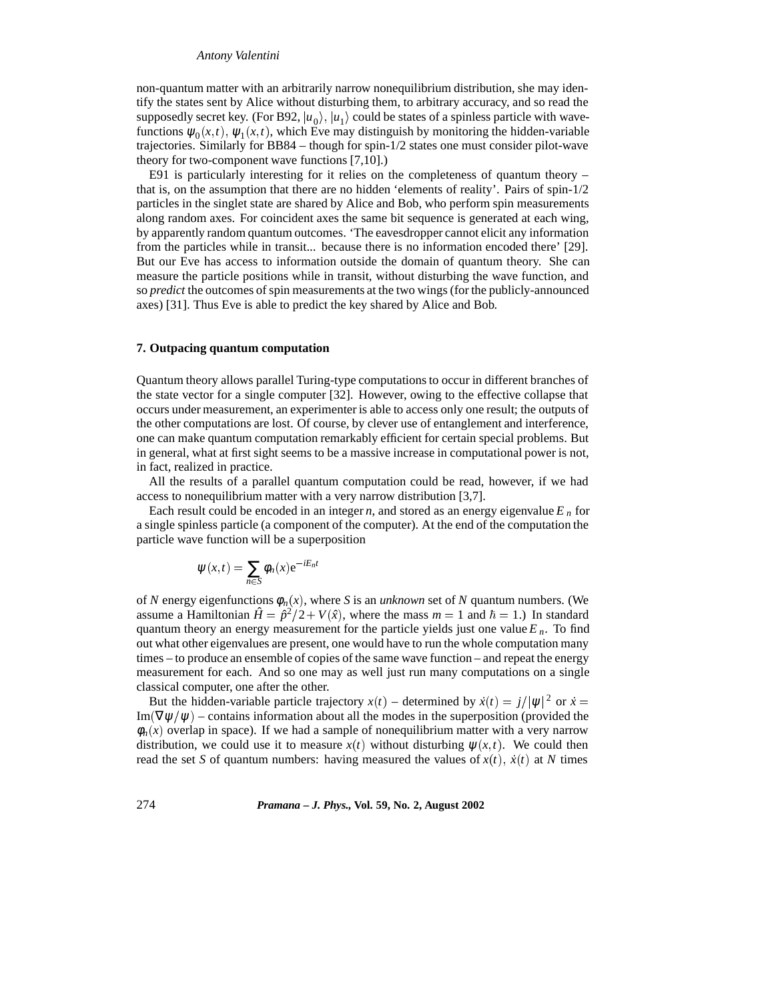#### *Antony Valentini*

non-quantum matter with an arbitrarily narrow nonequilibrium distribution, she may identify the states sent by Alice without disturbing them, to arbitrary accuracy, and so read the supposedly secret key. (For B92,  $|u_0\rangle$ ,  $|u_1\rangle$  could be states of a spinless particle with wavefunctions  $\psi_0(x,t)$ ,  $\psi_1(x,t)$ , which Eve may distinguish by monitoring the hidden-variable trajectories. Similarly for BB84 – though for spin-1/2 states one must consider pilot-wave theory for two-component wave functions [7,10].)

E91 is particularly interesting for it relies on the completeness of quantum theory – that is, on the assumption that there are no hidden 'elements of reality'. Pairs of spin-1/2 particles in the singlet state are shared by Alice and Bob, who perform spin measurements along random axes. For coincident axes the same bit sequence is generated at each wing, by apparently random quantum outcomes. 'The eavesdropper cannot elicit any information from the particles while in transit... because there is no information encoded there' [29]. But our Eve has access to information outside the domain of quantum theory. She can measure the particle positions while in transit, without disturbing the wave function, and so *predict* the outcomes of spin measurements at the two wings (for the publicly-announced axes) [31]. Thus Eve is able to predict the key shared by Alice and Bob.

# **7. Outpacing quantum computation**

Quantum theory allows parallel Turing-type computations to occur in different branches of the state vector for a single computer [32]. However, owing to the effective collapse that occurs under measurement, an experimenter is able to access only one result; the outputs of the other computations are lost. Of course, by clever use of entanglement and interference, one can make quantum computation remarkably efficient for certain special problems. But in general, what at first sight seems to be a massive increase in computational power is not, in fact, realized in practice.

All the results of a parallel quantum computation could be read, however, if we had access to nonequilibrium matter with a very narrow distribution [3,7].

Each result could be encoded in an integer  $n$ , and stored as an energy eigenvalue  $E_n$  for a single spinless particle (a component of the computer). At the end of the computation the particle wave function will be a superposition

$$
\psi(x,t) = \sum_{n \in S} \phi_n(x) e^{-iE_n t}
$$

of *N* energy eigenfunctions  $\phi_n(x)$ , where *S* is an *unknown* set of *N* quantum numbers. (We assume a Hamiltonian  $\hat{H} = \hat{p}^2/2 + V(\hat{x})$ , where the mass  $m = 1$  and  $\hbar = 1$ .) In standard quantum theory an energy measurement for the particle yields just one value *E <sup>n</sup>*. To find out what other eigenvalues are present, one would have to run the whole computation many times – to produce an ensemble of copies of the same wave function – and repeat the energy measurement for each. And so one may as well just run many computations on a single classical computer, one after the other.

But the hidden-variable particle trajectory  $x(t)$  – determined by  $\dot{x}(t) = j/|\psi|^2$  or  $\dot{x} =$  $\text{Im}(\nabla \psi/\psi)$  – contains information about all the modes in the superposition (provided the  $\phi_n(x)$  overlap in space). If we had a sample of nonequilibrium matter with a very narrow distribution, we could use it to measure  $x(t)$  without disturbing  $\psi(x,t)$ . We could then read the set *S* of quantum numbers: having measured the values of  $x(t)$ ,  $\dot{x}(t)$  at *N* times

274 *Pramana – J. Phys.,* **Vol. 59, No. 2, August 2002**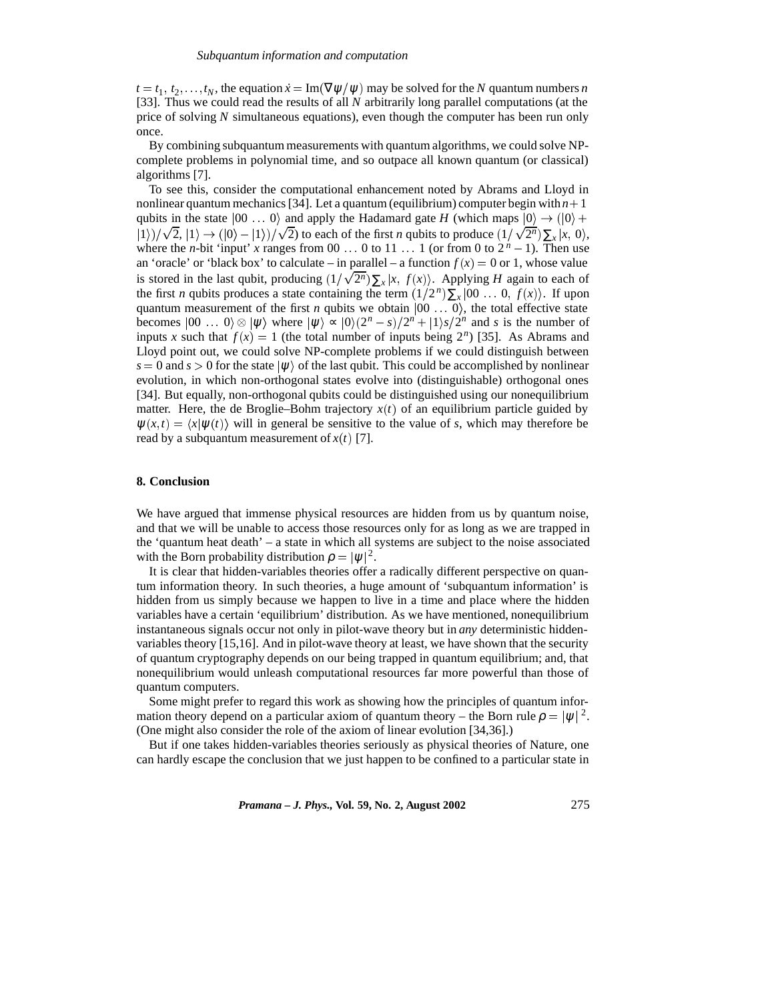$t = t_1, t_2, \dots, t_N$ , the equation  $\dot{x} = \text{Im}(\nabla \psi / \psi)$  may be solved for the *N* quantum numbers *n* [33]. Thus we could read the results of all *N* arbitrarily long parallel computations (at the price of solving *N* simultaneous equations), even though the computer has been run only once.

By combining subquantum measurements with quantum algorithms, we could solve NPcomplete problems in polynomial time, and so outpace all known quantum (or classical) algorithms [7].

To see this, consider the computational enhancement noted by Abrams and Lloyd in nonlinear quantum mechanics [34]. Let a quantum (equilibrium) computer begin with  $n+1$ qubits in the state  $|00 \dots 0\rangle$  and apply the Hadamard gate *H* (which maps  $|0\rangle \rightarrow (|0\rangle +$  $|1\rangle/\sqrt{2}$ ,  $|1\rangle \rightarrow (|0\rangle - |1\rangle)/\sqrt{2}$  to each of the first *n* qubits to produce  $(1/\sqrt{2^n})\sum_{x} |x, 0\rangle$ , where the *n*-bit 'input' *x* ranges from 00  $\ldots$  0 to 11  $\ldots$  1 (or from 0 to 2<sup>*n*</sup> - 1). Then use an 'oracle' or 'black box' to calculate – in parallel – a function  $f(x) = 0$  or 1, whose value is stored in the last qubit, producing  $(1/\sqrt{2^n}) \sum_{x} |x, f(x)\rangle$ . Applying *H* again to each of the first *n* qubits produces a state containing the term  $(1/2^n) \sum_{x} |00 \dots 0, f(x)|$ . If upon quantum measurement of the first *n* qubits we obtain  $|00 \dots 0\rangle$ , the total effective state becomes  $|00 \dots 0\rangle \otimes |\psi\rangle$  where  $|\psi\rangle \propto |0\rangle(2^n - s)/2^n + |1\rangle s/2^n$  and *s* is the number of inputs *x* such that  $f(x) = 1$  (the total number of inputs being  $2^n$ ) [35]. As Abrams and Lloyd point out, we could solve NP-complete problems if we could distinguish between  $s = 0$  and  $s > 0$  for the state  $|\psi\rangle$  of the last qubit. This could be accomplished by nonlinear evolution, in which non-orthogonal states evolve into (distinguishable) orthogonal ones [34]. But equally, non-orthogonal qubits could be distinguished using our nonequilibrium matter. Here, the de Broglie–Bohm trajectory  $x(t)$  of an equilibrium particle guided by  $\psi(x,t) = \langle x | \psi(t) \rangle$  will in general be sensitive to the value of *s*, which may therefore be read by a subquantum measurement of  $x(t)$  [7].

# **8. Conclusion**

We have argued that immense physical resources are hidden from us by quantum noise, and that we will be unable to access those resources only for as long as we are trapped in the 'quantum heat death' – a state in which all systems are subject to the noise associated with the Born probability distribution  $\rho = |\psi|^2$ .

It is clear that hidden-variables theories offer a radically different perspective on quantum information theory. In such theories, a huge amount of 'subquantum information' is hidden from us simply because we happen to live in a time and place where the hidden variables have a certain 'equilibrium' distribution. As we have mentioned, nonequilibrium instantaneous signals occur not only in pilot-wave theory but in *any* deterministic hiddenvariables theory [15,16]. And in pilot-wave theory at least, we have shown that the security of quantum cryptography depends on our being trapped in quantum equilibrium; and, that nonequilibrium would unleash computational resources far more powerful than those of quantum computers.

Some might prefer to regard this work as showing how the principles of quantum information theory depend on a particular axiom of quantum theory – the Born rule  $\rho = |\psi|^2$ . (One might also consider the role of the axiom of linear evolution [34,36].)

But if one takes hidden-variables theories seriously as physical theories of Nature, one can hardly escape the conclusion that we just happen to be confined to a particular state in

*Pramana – J. Phys.,* **Vol. 59, No. 2, August 2002** 275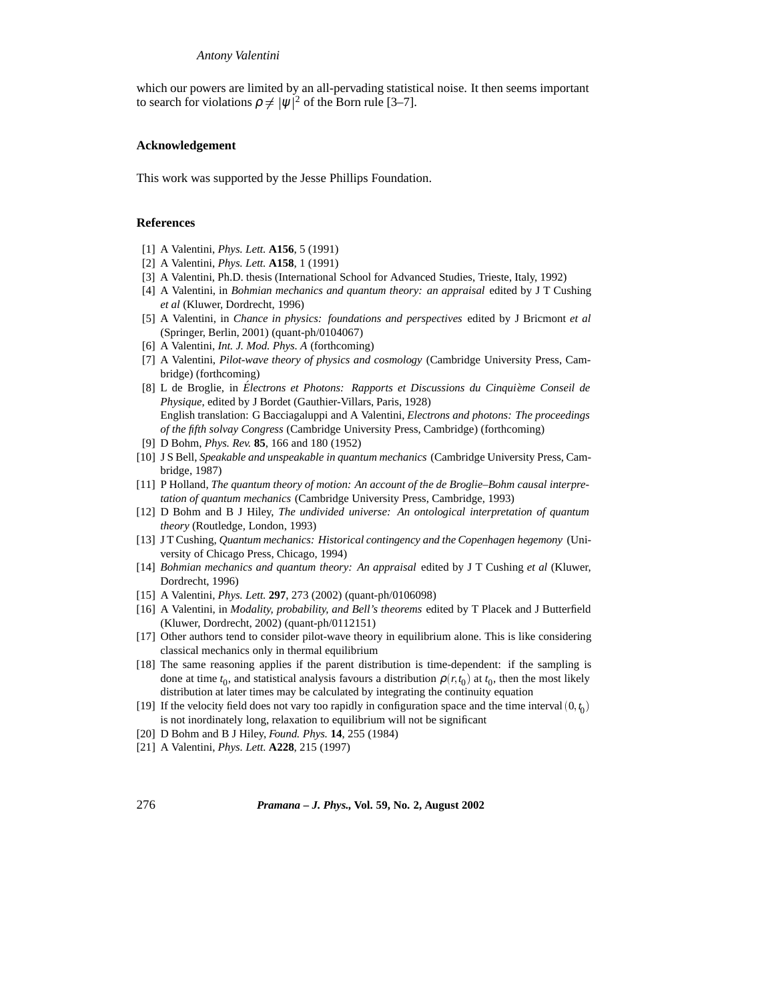## *Antony Valentini*

which our powers are limited by an all-pervading statistical noise. It then seems important to search for violations  $\rho \neq |\psi|^2$  of the Born rule [3–7].

# **Acknowledgement**

This work was supported by the Jesse Phillips Foundation.

# **References**

- [1] A Valentini, *Phys. Lett.* **A156**, 5 (1991)
- [2] A Valentini, *Phys. Lett.* **A158**, 1 (1991)
- [3] A Valentini, Ph.D. thesis (International School for Advanced Studies, Trieste, Italy, 1992)
- [4] A Valentini, in *Bohmian mechanics and quantum theory: an appraisal* edited by J T Cushing *et al* (Kluwer, Dordrecht, 1996)
- [5] A Valentini, in *Chance in physics: foundations and perspectives* edited by J Bricmont *et al* (Springer, Berlin, 2001) (quant-ph/0104067)
- [6] A Valentini, *Int. J. Mod. Phys. A* (forthcoming)
- [7] A Valentini, *Pilot-wave theory of physics and cosmology* (Cambridge University Press, Cambridge) (forthcoming)
- [8] L de Broglie, in *Electrons et Photons: Rapports et Discussions du Cinqui` ´ eme Conseil de Physique*, edited by J Bordet (Gauthier-Villars, Paris, 1928) English translation: G Bacciagaluppi and A Valentini, *Electrons and photons: The proceedings of the fifth solvay Congress* (Cambridge University Press, Cambridge) (forthcoming)
- [9] D Bohm, *Phys. Rev.* **85**, 166 and 180 (1952)
- [10] J S Bell, *Speakable and unspeakable in quantum mechanics* (Cambridge University Press, Cambridge, 1987)
- [11] P Holland, *The quantum theory of motion: An account of the de Broglie–Bohm causal interpretation of quantum mechanics* (Cambridge University Press, Cambridge, 1993)
- [12] D Bohm and B J Hiley, *The undivided universe: An ontological interpretation of quantum theory* (Routledge, London, 1993)
- [13] J T Cushing, *Quantum mechanics: Historical contingency and the Copenhagen hegemony* (University of Chicago Press, Chicago, 1994)
- [14] *Bohmian mechanics and quantum theory: An appraisal* edited by J T Cushing *et al* (Kluwer, Dordrecht, 1996)
- [15] A Valentini, *Phys. Lett.* **297**, 273 (2002) (quant-ph/0106098)
- [16] A Valentini, in *Modality, probability, and Bell's theorems* edited by T Placek and J Butterfield (Kluwer, Dordrecht, 2002) (quant-ph/0112151)
- [17] Other authors tend to consider pilot-wave theory in equilibrium alone. This is like considering classical mechanics only in thermal equilibrium
- [18] The same reasoning applies if the parent distribution is time-dependent: if the sampling is done at time  $t_0$ , and statistical analysis favours a distribution  $\rho(r, t_0)$  at  $t_0$ , then the most likely distribution at later times may be calculated by integrating the continuity equation
- [19] If the velocity field does not vary too rapidly in configuration space and the time interval  $(0, t_0)$ is not inordinately long, relaxation to equilibrium will not be significant
- [20] D Bohm and B J Hiley, *Found. Phys.* **14**, 255 (1984)
- [21] A Valentini, *Phys. Lett.* **A228**, 215 (1997)